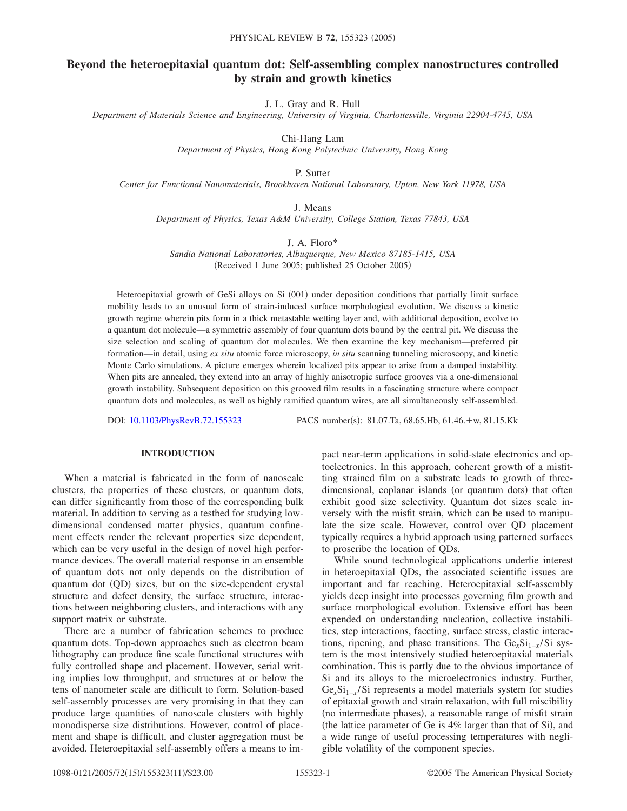# **Beyond the heteroepitaxial quantum dot: Self-assembling complex nanostructures controlled by strain and growth kinetics**

J. L. Gray and R. Hull

*Department of Materials Science and Engineering, University of Virginia, Charlottesville, Virginia 22904-4745, USA*

Chi-Hang Lam

*Department of Physics, Hong Kong Polytechnic University, Hong Kong*

P. Sutter

*Center for Functional Nanomaterials, Brookhaven National Laboratory, Upton, New York 11978, USA*

J. Means

*Department of Physics, Texas A&M University, College Station, Texas 77843, USA*

J. A. Floro\*

*Sandia National Laboratories, Albuquerque, New Mexico 87185-1415, USA* (Received 1 June 2005; published 25 October 2005)

Heteroepitaxial growth of GeSi alloys on Si (001) under deposition conditions that partially limit surface mobility leads to an unusual form of strain-induced surface morphological evolution. We discuss a kinetic growth regime wherein pits form in a thick metastable wetting layer and, with additional deposition, evolve to a quantum dot molecule—a symmetric assembly of four quantum dots bound by the central pit. We discuss the size selection and scaling of quantum dot molecules. We then examine the key mechanism—preferred pit formation—in detail, using *ex situ* atomic force microscopy, *in situ* scanning tunneling microscopy, and kinetic Monte Carlo simulations. A picture emerges wherein localized pits appear to arise from a damped instability. When pits are annealed, they extend into an array of highly anisotropic surface grooves via a one-dimensional growth instability. Subsequent deposition on this grooved film results in a fascinating structure where compact quantum dots and molecules, as well as highly ramified quantum wires, are all simultaneously self-assembled.

DOI: [10.1103/PhysRevB.72.155323](http://dx.doi.org/10.1103/PhysRevB.72.155323)

PACS number(s): 81.07.Ta, 68.65.Hb, 61.46. $+w$ , 81.15.Kk

## **INTRODUCTION**

When a material is fabricated in the form of nanoscale clusters, the properties of these clusters, or quantum dots, can differ significantly from those of the corresponding bulk material. In addition to serving as a testbed for studying lowdimensional condensed matter physics, quantum confinement effects render the relevant properties size dependent, which can be very useful in the design of novel high performance devices. The overall material response in an ensemble of quantum dots not only depends on the distribution of quantum dot (QD) sizes, but on the size-dependent crystal structure and defect density, the surface structure, interactions between neighboring clusters, and interactions with any support matrix or substrate.

There are a number of fabrication schemes to produce quantum dots. Top-down approaches such as electron beam lithography can produce fine scale functional structures with fully controlled shape and placement. However, serial writing implies low throughput, and structures at or below the tens of nanometer scale are difficult to form. Solution-based self-assembly processes are very promising in that they can produce large quantities of nanoscale clusters with highly monodisperse size distributions. However, control of placement and shape is difficult, and cluster aggregation must be avoided. Heteroepitaxial self-assembly offers a means to impact near-term applications in solid-state electronics and optoelectronics. In this approach, coherent growth of a misfitting strained film on a substrate leads to growth of threedimensional, coplanar islands (or quantum dots) that often exhibit good size selectivity. Quantum dot sizes scale inversely with the misfit strain, which can be used to manipulate the size scale. However, control over QD placement typically requires a hybrid approach using patterned surfaces to proscribe the location of QDs.

While sound technological applications underlie interest in heteroepitaxial QDs, the associated scientific issues are important and far reaching. Heteroepitaxial self-assembly yields deep insight into processes governing film growth and surface morphological evolution. Extensive effort has been expended on understanding nucleation, collective instabilities, step interactions, faceting, surface stress, elastic interactions, ripening, and phase transitions. The  $Ge<sub>r</sub>Si<sub>1-r</sub>/Si$  system is the most intensively studied heteroepitaxial materials combination. This is partly due to the obvious importance of Si and its alloys to the microelectronics industry. Further, Ge<sub>x</sub>Si<sub>1−*x*</sub>/Si represents a model materials system for studies of epitaxial growth and strain relaxation, with full miscibility (no intermediate phases), a reasonable range of misfit strain (the lattice parameter of Ge is  $4\%$  larger than that of Si), and a wide range of useful processing temperatures with negligible volatility of the component species.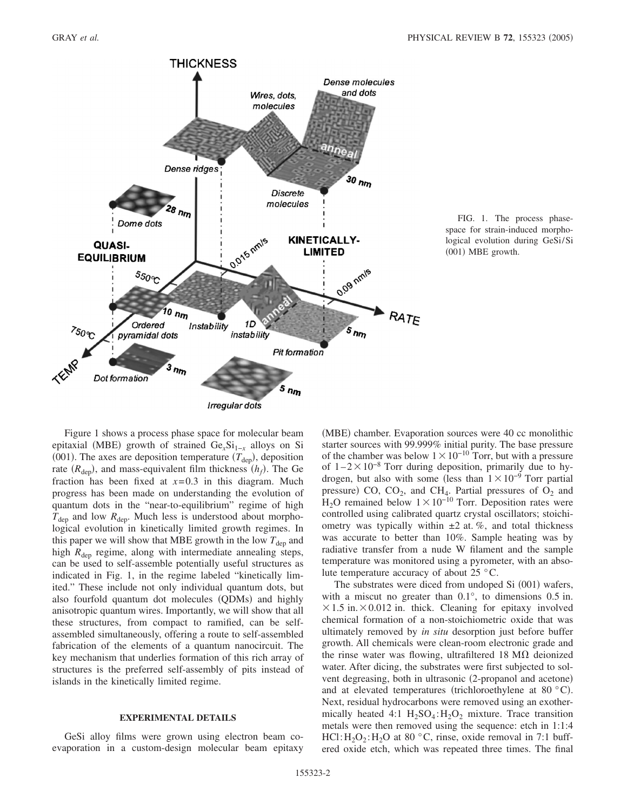



Figure 1 shows a process phase space for molecular beam epitaxial (MBE) growth of strained Ge<sub>x</sub>Si<sub>1−*x*</sub> alloys on Si (001). The axes are deposition temperature  $(T_{\text{dep}})$ , deposition rate  $(R_{\text{dep}})$ , and mass-equivalent film thickness  $(h_f)$ . The Ge fraction has been fixed at  $x=0.3$  in this diagram. Much progress has been made on understanding the evolution of quantum dots in the "near-to-equilibrium" regime of high  $T_{\text{dep}}$  and low  $R_{\text{dep}}$ . Much less is understood about morphological evolution in kinetically limited growth regimes. In this paper we will show that MBE growth in the low  $T_{dep}$  and high  $R_{\text{dep}}$  regime, along with intermediate annealing steps, can be used to self-assemble potentially useful structures as indicated in Fig. 1, in the regime labeled "kinetically limited." These include not only individual quantum dots, but also fourfold quantum dot molecules (QDMs) and highly anisotropic quantum wires. Importantly, we will show that all these structures, from compact to ramified, can be selfassembled simultaneously, offering a route to self-assembled fabrication of the elements of a quantum nanocircuit. The key mechanism that underlies formation of this rich array of structures is the preferred self-assembly of pits instead of islands in the kinetically limited regime.

## **EXPERIMENTAL DETAILS**

GeSi alloy films were grown using electron beam coevaporation in a custom-design molecular beam epitaxy

(MBE) chamber. Evaporation sources were 40 cc monolithic starter sources with 99.999% initial purity. The base pressure of the chamber was below  $1 \times 10^{-10}$  Torr, but with a pressure of  $1-2 \times 10^{-8}$  Torr during deposition, primarily due to hydrogen, but also with some (less than  $1 \times 10^{-9}$  Torr partial pressure) CO,  $CO_2$ , and  $CH_4$ . Partial pressures of  $O_2$  and  $H_2O$  remained below  $1 \times 10^{-10}$  Torr. Deposition rates were controlled using calibrated quartz crystal oscillators; stoichiometry was typically within  $\pm 2$  at. %, and total thickness was accurate to better than 10%. Sample heating was by radiative transfer from a nude W filament and the sample temperature was monitored using a pyrometer, with an absolute temperature accuracy of about 25 °C.

The substrates were diced from undoped Si (001) wafers, with a miscut no greater than  $0.1^{\circ}$ , to dimensions  $0.5$  in.  $\times$  1.5 in.  $\times$  0.012 in. thick. Cleaning for epitaxy involved chemical formation of a non-stoichiometric oxide that was ultimately removed by *in situ* desorption just before buffer growth. All chemicals were clean-room electronic grade and the rinse water was flowing, ultrafiltered 18  $\text{M}\Omega$  deionized water. After dicing, the substrates were first subjected to solvent degreasing, both in ultrasonic (2-propanol and acetone) and at elevated temperatures (trichloroethylene at 80 $\degree$ C). Next, residual hydrocarbons were removed using an exothermically heated 4:1  $H_2SO_4$ :  $H_2O_2$  mixture. Trace transition metals were then removed using the sequence: etch in 1:1:4 HCl:  $H_2O_2$ :  $H_2O$  at 80 °C, rinse, oxide removal in 7:1 buffered oxide etch, which was repeated three times. The final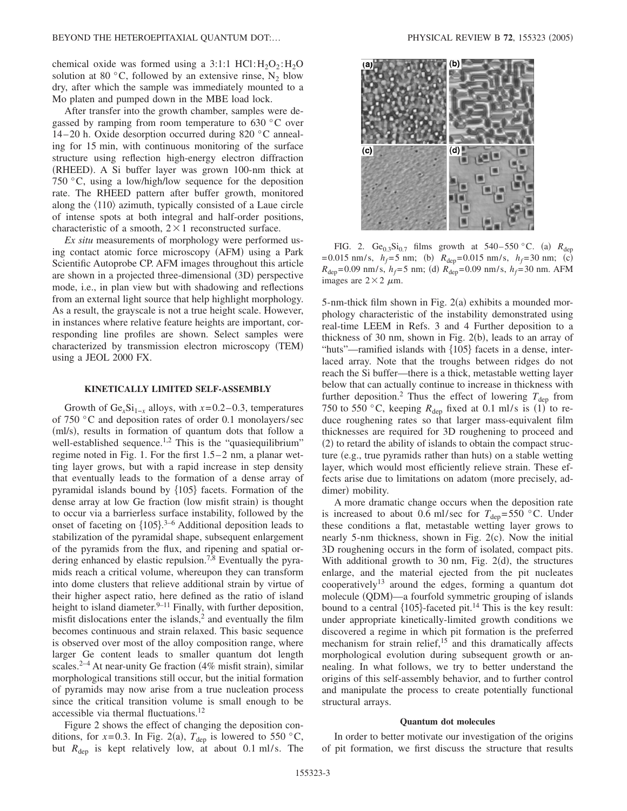chemical oxide was formed using a  $3:1:1$  HCl:  $H_2O_2$ :  $H_2O$ solution at 80  $^{\circ}$ C, followed by an extensive rinse, N<sub>2</sub> blow dry, after which the sample was immediately mounted to a Mo platen and pumped down in the MBE load lock.

After transfer into the growth chamber, samples were degassed by ramping from room temperature to 630 °C over 14–20 h. Oxide desorption occurred during 820 °C annealing for 15 min, with continuous monitoring of the surface structure using reflection high-energy electron diffraction (RHEED). A Si buffer layer was grown 100-nm thick at 750 °C, using a low/high/low sequence for the deposition rate. The RHEED pattern after buffer growth, monitored along the  $\langle 110 \rangle$  azimuth, typically consisted of a Laue circle of intense spots at both integral and half-order positions, characteristic of a smooth,  $2 \times 1$  reconstructed surface.

*Ex situ* measurements of morphology were performed using contact atomic force microscopy (AFM) using a Park Scientific Autoprobe CP. AFM images throughout this article are shown in a projected three-dimensional (3D) perspective mode, i.e., in plan view but with shadowing and reflections from an external light source that help highlight morphology. As a result, the grayscale is not a true height scale. However, in instances where relative feature heights are important, corresponding line profiles are shown. Select samples were characterized by transmission electron microscopy (TEM) using a JEOL 2000 FX.

## **KINETICALLY LIMITED SELF-ASSEMBLY**

Growth of Ge<sub>x</sub>Si<sub>1−*x*</sub> alloys, with *x*=0.2–0.3, temperatures of 750 °C and deposition rates of order 0.1 monolayers/sec (ml/s), results in formation of quantum dots that follow a well-established sequence.<sup>1,2</sup> This is the "quasiequilibrium" regime noted in Fig. 1. For the first 1.5–2 nm, a planar wetting layer grows, but with a rapid increase in step density that eventually leads to the formation of a dense array of pyramidal islands bound by  ${105}$  facets. Formation of the dense array at low Ge fraction (low misfit strain) is thought to occur via a barrierless surface instability, followed by the onset of faceting on  $\{105\}$ .<sup>3-6</sup> Additional deposition leads to stabilization of the pyramidal shape, subsequent enlargement of the pyramids from the flux, and ripening and spatial ordering enhanced by elastic repulsion.<sup>7,8</sup> Eventually the pyramids reach a critical volume, whereupon they can transform into dome clusters that relieve additional strain by virtue of their higher aspect ratio, here defined as the ratio of island height to island diameter. $9-11$  Finally, with further deposition, misfit dislocations enter the islands, $<sup>2</sup>$  and eventually the film</sup> becomes continuous and strain relaxed. This basic sequence is observed over most of the alloy composition range, where larger Ge content leads to smaller quantum dot length scales.<sup>2-4</sup> At near-unity Ge fraction (4% misfit strain), similar morphological transitions still occur, but the initial formation of pyramids may now arise from a true nucleation process since the critical transition volume is small enough to be accessible via thermal fluctuations.12

Figure 2 shows the effect of changing the deposition conditions, for  $x=0.3$ . In Fig. 2(a),  $T_{\text{dep}}$  is lowered to 550 °C, but  $R_{\text{dep}}$  is kept relatively low, at about 0.1 ml/s. The



FIG. 2.  $Ge_{0.3}Si_{0.7}$  films growth at 540–550 °C. (a)  $R_{dep}$  $= 0.015$  nm/s,  $h_f = 5$  nm; (b)  $R_{\text{dep}} = 0.015$  nm/s,  $h_f = 30$  nm; (c)  $R_{\text{dep}} = 0.09 \text{ nm/s}, h_f = 5 \text{ nm}$ ; (d)  $R_{\text{dep}} = 0.09 \text{ nm/s}, h_f = 30 \text{ nm}$ . AFM images are  $2 \times 2 \mu$ m.

5-nm-thick film shown in Fig.  $2(a)$  exhibits a mounded morphology characteristic of the instability demonstrated using real-time LEEM in Refs. 3 and 4 Further deposition to a thickness of 30 nm, shown in Fig. 2(b), leads to an array of "huts"—ramified islands with  ${105}$  facets in a dense, interlaced array. Note that the troughs between ridges do not reach the Si buffer—there is a thick, metastable wetting layer below that can actually continue to increase in thickness with further deposition.<sup>2</sup> Thus the effect of lowering  $T_{den}$  from 750 to 550 °C, keeping  $R_{\text{dep}}$  fixed at 0.1 ml/s is (1) to reduce roughening rates so that larger mass-equivalent film thicknesses are required for 3D roughening to proceed and (2) to retard the ability of islands to obtain the compact structure (e.g., true pyramids rather than huts) on a stable wetting layer, which would most efficiently relieve strain. These effects arise due to limitations on adatom (more precisely, addimer) mobility.

A more dramatic change occurs when the deposition rate is increased to about 0.6 ml/sec for  $T_{dep} = 550$  °C. Under these conditions a flat, metastable wetting layer grows to nearly 5-nm thickness, shown in Fig. 2(c). Now the initial 3D roughening occurs in the form of isolated, compact pits. With additional growth to  $30$  nm, Fig.  $2(d)$ , the structures enlarge, and the material ejected from the pit nucleates cooperatively<sup>13</sup> around the edges, forming a quantum dot molecule (QDM)—a fourfold symmetric grouping of islands bound to a central  $\{105\}$ -faceted pit.<sup>14</sup> This is the key result: under appropriate kinetically-limited growth conditions we discovered a regime in which pit formation is the preferred mechanism for strain relief, $15$  and this dramatically affects morphological evolution during subsequent growth or annealing. In what follows, we try to better understand the origins of this self-assembly behavior, and to further control and manipulate the process to create potentially functional structural arrays.

#### **Quantum dot molecules**

In order to better motivate our investigation of the origins of pit formation, we first discuss the structure that results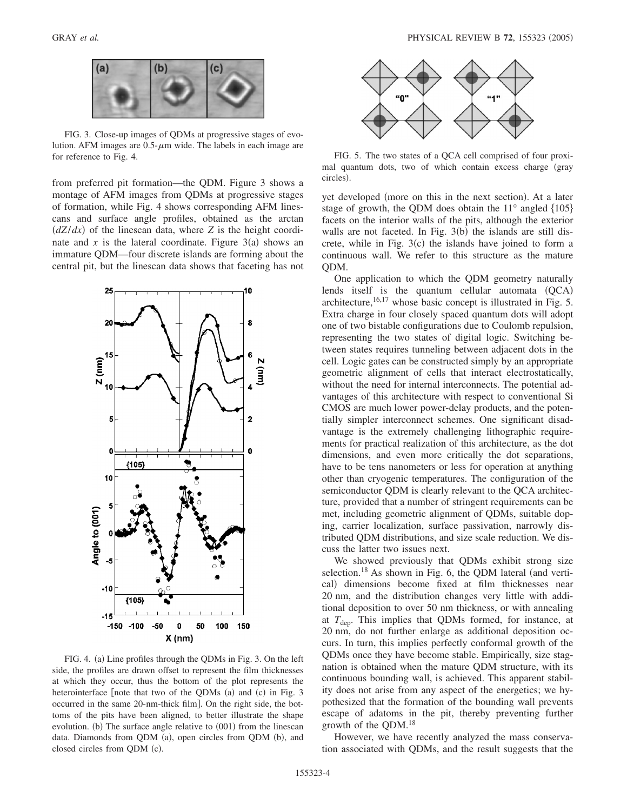

FIG. 3. Close-up images of QDMs at progressive stages of evolution. AFM images are  $0.5 - \mu m$  wide. The labels in each image are for reference to Fig. 4.

from preferred pit formation—the QDM. Figure 3 shows a montage of AFM images from QDMs at progressive stages of formation, while Fig. 4 shows corresponding AFM linescans and surface angle profiles, obtained as the arctan  $(dZ/dx)$  of the linescan data, where *Z* is the height coordinate and  $x$  is the lateral coordinate. Figure  $3(a)$  shows an immature QDM—four discrete islands are forming about the central pit, but the linescan data shows that faceting has not



FIG. 4. (a) Line profiles through the QDMs in Fig. 3. On the left side, the profiles are drawn offset to represent the film thicknesses at which they occur, thus the bottom of the plot represents the heterointerface [note that two of the QDMs (a) and (c) in Fig. 3 occurred in the same 20-nm-thick film]. On the right side, the bottoms of the pits have been aligned, to better illustrate the shape evolution. (b) The surface angle relative to (001) from the linescan data. Diamonds from QDM (a), open circles from QDM (b), and closed circles from QDM (c).



FIG. 5. The two states of a QCA cell comprised of four proximal quantum dots, two of which contain excess charge (gray circles).

yet developed (more on this in the next section). At a later stage of growth, the QDM does obtain the  $11^{\circ}$  angled  $\{105\}$ facets on the interior walls of the pits, although the exterior walls are not faceted. In Fig.  $3(b)$  the islands are still discrete, while in Fig.  $3(c)$  the islands have joined to form a continuous wall. We refer to this structure as the mature QDM.

One application to which the QDM geometry naturally lends itself is the quantum cellular automata (QCA) architecture, $16,17$  whose basic concept is illustrated in Fig. 5. Extra charge in four closely spaced quantum dots will adopt one of two bistable configurations due to Coulomb repulsion, representing the two states of digital logic. Switching between states requires tunneling between adjacent dots in the cell. Logic gates can be constructed simply by an appropriate geometric alignment of cells that interact electrostatically, without the need for internal interconnects. The potential advantages of this architecture with respect to conventional Si CMOS are much lower power-delay products, and the potentially simpler interconnect schemes. One significant disadvantage is the extremely challenging lithographic requirements for practical realization of this architecture, as the dot dimensions, and even more critically the dot separations, have to be tens nanometers or less for operation at anything other than cryogenic temperatures. The configuration of the semiconductor QDM is clearly relevant to the QCA architecture, provided that a number of stringent requirements can be met, including geometric alignment of QDMs, suitable doping, carrier localization, surface passivation, narrowly distributed QDM distributions, and size scale reduction. We discuss the latter two issues next.

We showed previously that QDMs exhibit strong size selection.<sup>18</sup> As shown in Fig. 6, the QDM lateral (and vertical) dimensions become fixed at film thicknesses near 20 nm, and the distribution changes very little with additional deposition to over 50 nm thickness, or with annealing at  $T_{\text{dep}}$ . This implies that QDMs formed, for instance, at 20 nm, do not further enlarge as additional deposition occurs. In turn, this implies perfectly conformal growth of the QDMs once they have become stable. Empirically, size stagnation is obtained when the mature QDM structure, with its continuous bounding wall, is achieved. This apparent stability does not arise from any aspect of the energetics; we hypothesized that the formation of the bounding wall prevents escape of adatoms in the pit, thereby preventing further growth of the QDM.18

However, we have recently analyzed the mass conservation associated with QDMs, and the result suggests that the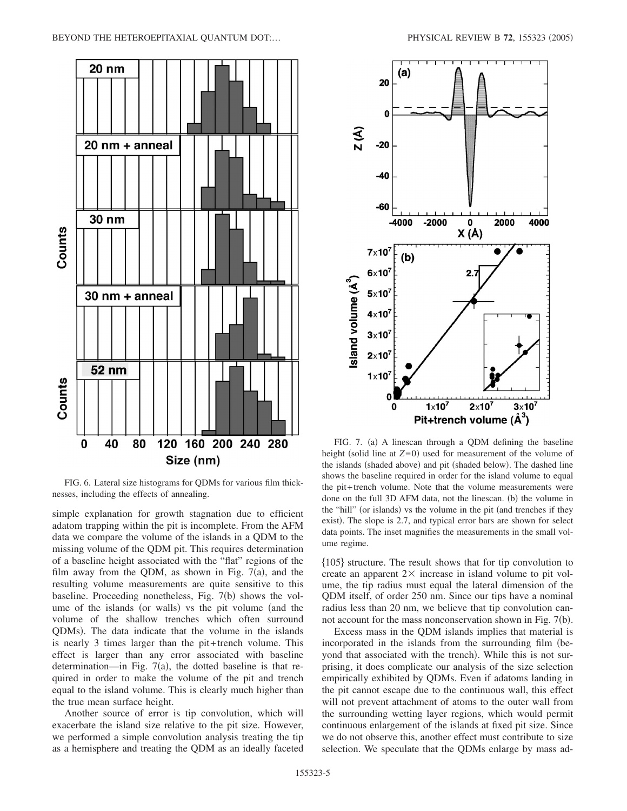

FIG. 6. Lateral size histograms for QDMs for various film thicknesses, including the effects of annealing.

simple explanation for growth stagnation due to efficient adatom trapping within the pit is incomplete. From the AFM data we compare the volume of the islands in a QDM to the missing volume of the QDM pit. This requires determination of a baseline height associated with the "flat" regions of the film away from the QDM, as shown in Fig.  $7(a)$ , and the resulting volume measurements are quite sensitive to this baseline. Proceeding nonetheless, Fig. 7(b) shows the volume of the islands (or walls) vs the pit volume (and the volume of the shallow trenches which often surround QDMs). The data indicate that the volume in the islands is nearly 3 times larger than the pit+trench volume. This effect is larger than any error associated with baseline determination—in Fig.  $7(a)$ , the dotted baseline is that required in order to make the volume of the pit and trench equal to the island volume. This is clearly much higher than the true mean surface height.

Another source of error is tip convolution, which will exacerbate the island size relative to the pit size. However, we performed a simple convolution analysis treating the tip as a hemisphere and treating the QDM as an ideally faceted



FIG. 7. (a) A linescan through a QDM defining the baseline height (solid line at  $Z=0$ ) used for measurement of the volume of the islands (shaded above) and pit (shaded below). The dashed line shows the baseline required in order for the island volume to equal the pit+trench volume. Note that the volume measurements were done on the full 3D AFM data, not the linescan. (b) the volume in the "hill" (or islands) vs the volume in the pit (and trenches if they exist). The slope is 2.7, and typical error bars are shown for select data points. The inset magnifies the measurements in the small volume regime.

 ${105}$  structure. The result shows that for tip convolution to create an apparent  $2 \times$  increase in island volume to pit volume, the tip radius must equal the lateral dimension of the QDM itself, of order 250 nm. Since our tips have a nominal radius less than 20 nm, we believe that tip convolution cannot account for the mass nonconservation shown in Fig. 7(b).

Excess mass in the QDM islands implies that material is incorporated in the islands from the surrounding film (beyond that associated with the trench). While this is not surprising, it does complicate our analysis of the size selection empirically exhibited by QDMs. Even if adatoms landing in the pit cannot escape due to the continuous wall, this effect will not prevent attachment of atoms to the outer wall from the surrounding wetting layer regions, which would permit continuous enlargement of the islands at fixed pit size. Since we do not observe this, another effect must contribute to size selection. We speculate that the QDMs enlarge by mass ad-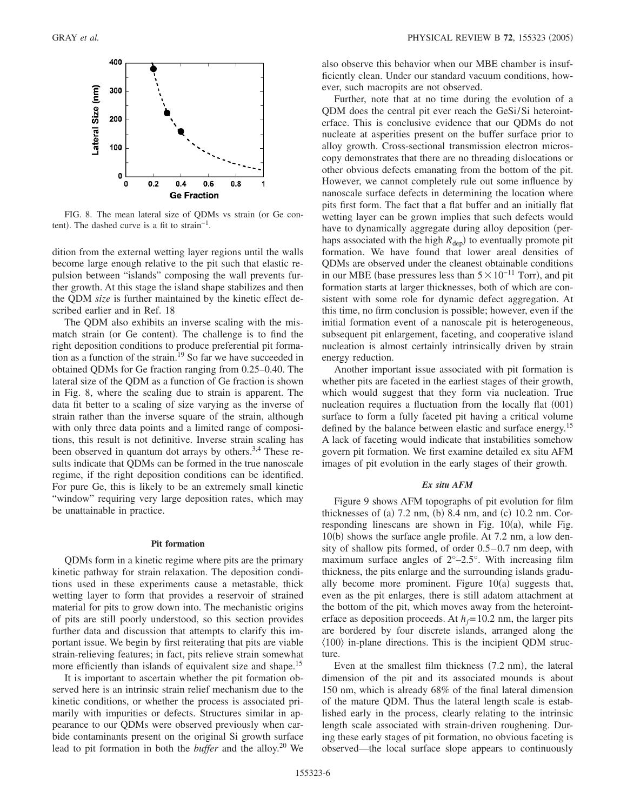

FIG. 8. The mean lateral size of QDMs vs strain (or Ge content). The dashed curve is a fit to strain<sup>-1</sup>.

dition from the external wetting layer regions until the walls become large enough relative to the pit such that elastic repulsion between "islands" composing the wall prevents further growth. At this stage the island shape stabilizes and then the QDM *size* is further maintained by the kinetic effect described earlier and in Ref. 18

The QDM also exhibits an inverse scaling with the mismatch strain (or Ge content). The challenge is to find the right deposition conditions to produce preferential pit formation as a function of the strain.19 So far we have succeeded in obtained QDMs for Ge fraction ranging from 0.25–0.40. The lateral size of the QDM as a function of Ge fraction is shown in Fig. 8, where the scaling due to strain is apparent. The data fit better to a scaling of size varying as the inverse of strain rather than the inverse square of the strain, although with only three data points and a limited range of compositions, this result is not definitive. Inverse strain scaling has been observed in quantum dot arrays by others.<sup>3,4</sup> These results indicate that QDMs can be formed in the true nanoscale regime, if the right deposition conditions can be identified. For pure Ge, this is likely to be an extremely small kinetic "window" requiring very large deposition rates, which may be unattainable in practice.

#### **Pit formation**

QDMs form in a kinetic regime where pits are the primary kinetic pathway for strain relaxation. The deposition conditions used in these experiments cause a metastable, thick wetting layer to form that provides a reservoir of strained material for pits to grow down into. The mechanistic origins of pits are still poorly understood, so this section provides further data and discussion that attempts to clarify this important issue. We begin by first reiterating that pits are viable strain-relieving features; in fact, pits relieve strain somewhat more efficiently than islands of equivalent size and shape.<sup>15</sup>

It is important to ascertain whether the pit formation observed here is an intrinsic strain relief mechanism due to the kinetic conditions, or whether the process is associated primarily with impurities or defects. Structures similar in appearance to our QDMs were observed previously when carbide contaminants present on the original Si growth surface lead to pit formation in both the *buffer* and the alloy.20 We also observe this behavior when our MBE chamber is insufficiently clean. Under our standard vacuum conditions, however, such macropits are not observed.

Further, note that at no time during the evolution of a QDM does the central pit ever reach the GeSi/Si heterointerface. This is conclusive evidence that our QDMs do not nucleate at asperities present on the buffer surface prior to alloy growth. Cross-sectional transmission electron microscopy demonstrates that there are no threading dislocations or other obvious defects emanating from the bottom of the pit. However, we cannot completely rule out some influence by nanoscale surface defects in determining the location where pits first form. The fact that a flat buffer and an initially flat wetting layer can be grown implies that such defects would have to dynamically aggregate during alloy deposition (perhaps associated with the high  $R_{\text{dep}}$ ) to eventually promote pit formation. We have found that lower areal densities of QDMs are observed under the cleanest obtainable conditions in our MBE (base pressures less than  $5 \times 10^{-11}$  Torr), and pit formation starts at larger thicknesses, both of which are consistent with some role for dynamic defect aggregation. At this time, no firm conclusion is possible; however, even if the initial formation event of a nanoscale pit is heterogeneous, subsequent pit enlargement, faceting, and cooperative island nucleation is almost certainly intrinsically driven by strain energy reduction.

Another important issue associated with pit formation is whether pits are faceted in the earliest stages of their growth, which would suggest that they form via nucleation. True nucleation requires a fluctuation from the locally flat (001) surface to form a fully faceted pit having a critical volume defined by the balance between elastic and surface energy.<sup>15</sup> A lack of faceting would indicate that instabilities somehow govern pit formation. We first examine detailed ex situ AFM images of pit evolution in the early stages of their growth.

## *Ex situ AFM*

Figure 9 shows AFM topographs of pit evolution for film thicknesses of (a)  $7.2$  nm, (b)  $8.4$  nm, and (c)  $10.2$  nm. Corresponding linescans are shown in Fig.  $10(a)$ , while Fig. 10(b) shows the surface angle profile. At 7.2 nm, a low density of shallow pits formed, of order 0.5–0.7 nm deep, with maximum surface angles of  $2^{\circ}-2.5^{\circ}$ . With increasing film thickness, the pits enlarge and the surrounding islands gradually become more prominent. Figure  $10(a)$  suggests that, even as the pit enlarges, there is still adatom attachment at the bottom of the pit, which moves away from the heterointerface as deposition proceeds. At  $h_f = 10.2$  nm, the larger pits are bordered by four discrete islands, arranged along the  $(100)$  in-plane directions. This is the incipient QDM structure.

Even at the smallest film thickness  $(7.2 \text{ nm})$ , the lateral dimension of the pit and its associated mounds is about 150 nm, which is already 68% of the final lateral dimension of the mature QDM. Thus the lateral length scale is established early in the process, clearly relating to the intrinsic length scale associated with strain-driven roughening. During these early stages of pit formation, no obvious faceting is observed—the local surface slope appears to continuously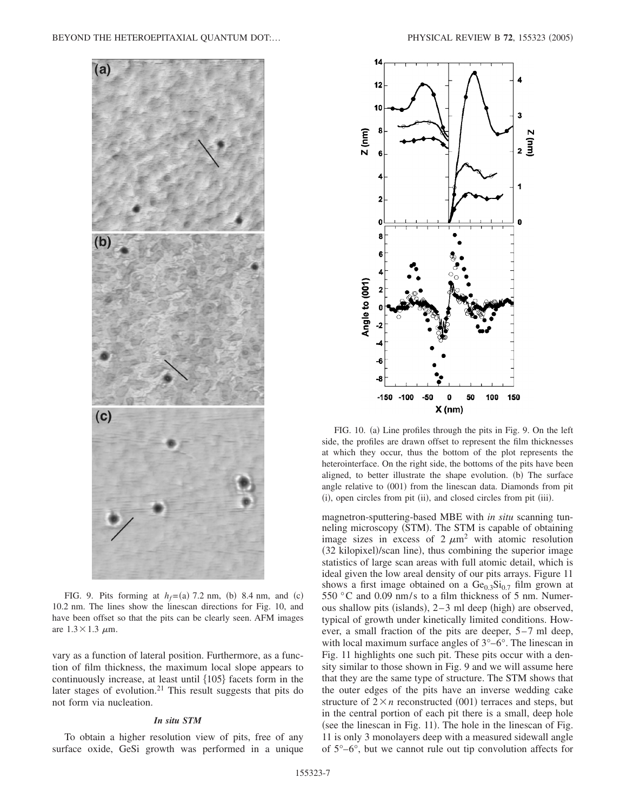

FIG. 9. Pits forming at  $h_f = (a)$  7.2 nm, (b) 8.4 nm, and (c) 10.2 nm. The lines show the linescan directions for Fig. 10, and have been offset so that the pits can be clearly seen. AFM images are  $1.3 \times 1.3$   $\mu$ m.

vary as a function of lateral position. Furthermore, as a function of film thickness, the maximum local slope appears to continuously increase, at least until  $\{105\}$  facets form in the later stages of evolution.<sup>21</sup> This result suggests that pits do not form via nucleation.

## *In situ STM*

To obtain a higher resolution view of pits, free of any surface oxide, GeSi growth was performed in a unique



FIG. 10. (a) Line profiles through the pits in Fig. 9. On the left side, the profiles are drawn offset to represent the film thicknesses at which they occur, thus the bottom of the plot represents the heterointerface. On the right side, the bottoms of the pits have been aligned, to better illustrate the shape evolution. (b) The surface angle relative to (001) from the linescan data. Diamonds from pit (i), open circles from pit (ii), and closed circles from pit (iii).

magnetron-sputtering-based MBE with *in situ* scanning tunneling microscopy (STM). The STM is capable of obtaining image sizes in excess of  $2 \mu m^2$  with atomic resolution (32 kilopixel)/scan line), thus combining the superior image statistics of large scan areas with full atomic detail, which is ideal given the low areal density of our pits arrays. Figure 11 shows a first image obtained on a  $Ge<sub>0.3</sub>Si<sub>0.7</sub>$  film grown at 550 °C and 0.09 nm/s to a film thickness of 5 nm. Numerous shallow pits (islands),  $2-3$  ml deep (high) are observed, typical of growth under kinetically limited conditions. However, a small fraction of the pits are deeper, 5–7 ml deep, with local maximum surface angles of 3°–6°. The linescan in Fig. 11 highlights one such pit. These pits occur with a density similar to those shown in Fig. 9 and we will assume here that they are the same type of structure. The STM shows that the outer edges of the pits have an inverse wedding cake structure of  $2 \times n$  reconstructed (001) terraces and steps, but in the central portion of each pit there is a small, deep hole (see the linescan in Fig. 11). The hole in the linescan of Fig. 11 is only 3 monolayers deep with a measured sidewall angle of 5°–6°, but we cannot rule out tip convolution affects for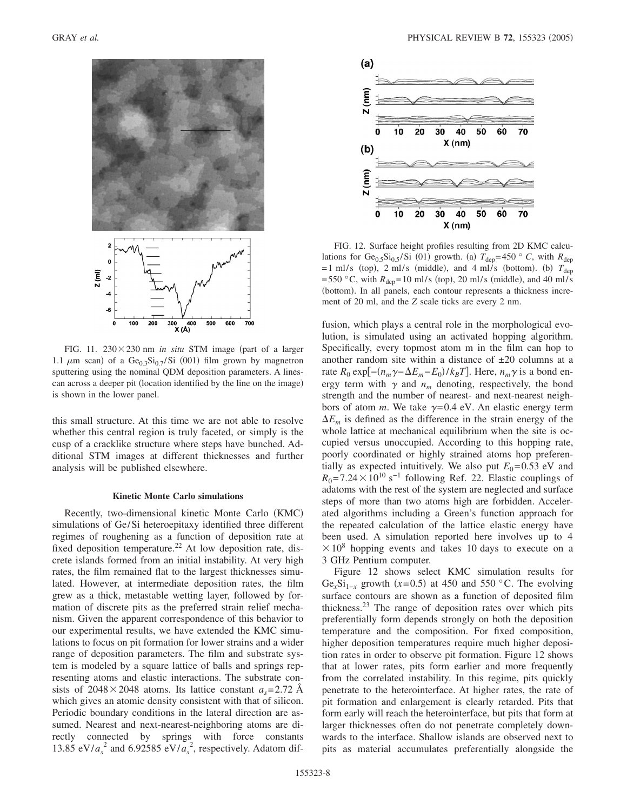

FIG. 11.  $230 \times 230$  nm *in situ* STM image (part of a larger 1.1  $\mu$ m scan) of a Ge<sub>0.3</sub>Si<sub>0.7</sub>/Si (001) film grown by magnetron sputtering using the nominal QDM deposition parameters. A linescan across a deeper pit (location identified by the line on the image) is shown in the lower panel.

this small structure. At this time we are not able to resolve whether this central region is truly faceted, or simply is the cusp of a cracklike structure where steps have bunched. Additional STM images at different thicknesses and further analysis will be published elsewhere.

#### **Kinetic Monte Carlo simulations**

Recently, two-dimensional kinetic Monte Carlo (KMC) simulations of Ge/Si heteroepitaxy identified three different regimes of roughening as a function of deposition rate at fixed deposition temperature.<sup>22</sup> At low deposition rate, discrete islands formed from an initial instability. At very high rates, the film remained flat to the largest thicknesses simulated. However, at intermediate deposition rates, the film grew as a thick, metastable wetting layer, followed by formation of discrete pits as the preferred strain relief mechanism. Given the apparent correspondence of this behavior to our experimental results, we have extended the KMC simulations to focus on pit formation for lower strains and a wider range of deposition parameters. The film and substrate system is modeled by a square lattice of balls and springs representing atoms and elastic interactions. The substrate consists of  $2048 \times 2048$  atoms. Its lattice constant  $a_s = 2.72$  Å which gives an atomic density consistent with that of silicon. Periodic boundary conditions in the lateral direction are assumed. Nearest and next-nearest-neighboring atoms are directly connected by springs with force constants 13.85 eV/ $a_s^2$  and 6.92585 eV/ $a_s^2$ , respectively. Adatom dif-



FIG. 12. Surface height profiles resulting from 2D KMC calculations for  $Ge_{0.5}Si_{0.5}/Si$  (01) growth. (a)  $T_{dep}=450$  ° *C*, with  $R_{dep}$  $= 1$  ml/s (top), 2 ml/s (middle), and 4 ml/s (bottom). (b)  $T_{dep}$ =550 °C, with  $R_{\text{dep}}$ =10 ml/s (top), 20 ml/s (middle), and 40 ml/s (bottom). In all panels, each contour represents a thickness increment of 20 ml, and the *Z* scale ticks are every 2 nm.

fusion, which plays a central role in the morphological evolution, is simulated using an activated hopping algorithm. Specifically, every topmost atom m in the film can hop to another random site within a distance of  $\pm 20$  columns at a rate  $R_0 \exp[-(n_m \gamma - \Delta E_m - E_0)/k_B T]$ . Here,  $n_m \gamma$  is a bond energy term with  $\gamma$  and  $n_m$  denoting, respectively, the bond strength and the number of nearest- and next-nearest neighbors of atom *m*. We take  $\gamma = 0.4$  eV. An elastic energy term  $\Delta E_m$  is defined as the difference in the strain energy of the whole lattice at mechanical equilibrium when the site is occupied versus unoccupied. According to this hopping rate, poorly coordinated or highly strained atoms hop preferentially as expected intuitively. We also put  $E_0 = 0.53$  eV and  $R_0$ =7.24 × 10<sup>10</sup> s<sup>-1</sup> following Ref. 22. Elastic couplings of adatoms with the rest of the system are neglected and surface steps of more than two atoms high are forbidden. Accelerated algorithms including a Green's function approach for the repeated calculation of the lattice elastic energy have been used. A simulation reported here involves up to 4  $\times$  10<sup>8</sup> hopping events and takes 10 days to execute on a 3 GHz Pentium computer.

Figure 12 shows select KMC simulation results for Ge<sub>x</sub>Si<sub>1-x</sub> growth (x=0.5) at 450 and 550 °C. The evolving surface contours are shown as a function of deposited film thickness.23 The range of deposition rates over which pits preferentially form depends strongly on both the deposition temperature and the composition. For fixed composition, higher deposition temperatures require much higher deposition rates in order to observe pit formation. Figure 12 shows that at lower rates, pits form earlier and more frequently from the correlated instability. In this regime, pits quickly penetrate to the heterointerface. At higher rates, the rate of pit formation and enlargement is clearly retarded. Pits that form early will reach the heterointerface, but pits that form at larger thicknesses often do not penetrate completely downwards to the interface. Shallow islands are observed next to pits as material accumulates preferentially alongside the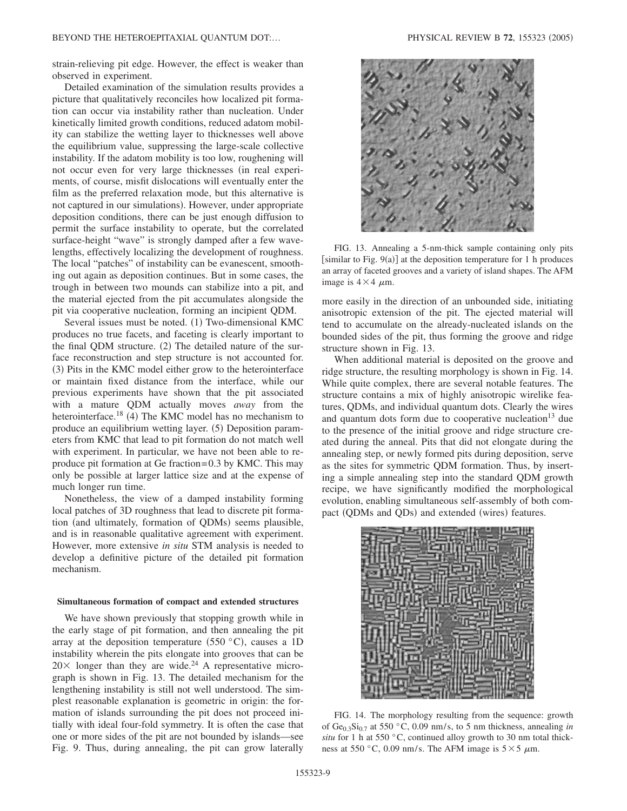strain-relieving pit edge. However, the effect is weaker than observed in experiment.

Detailed examination of the simulation results provides a picture that qualitatively reconciles how localized pit formation can occur via instability rather than nucleation. Under kinetically limited growth conditions, reduced adatom mobility can stabilize the wetting layer to thicknesses well above the equilibrium value, suppressing the large-scale collective instability. If the adatom mobility is too low, roughening will not occur even for very large thicknesses (in real experiments, of course, misfit dislocations will eventually enter the film as the preferred relaxation mode, but this alternative is not captured in our simulations). However, under appropriate deposition conditions, there can be just enough diffusion to permit the surface instability to operate, but the correlated surface-height "wave" is strongly damped after a few wavelengths, effectively localizing the development of roughness. The local "patches" of instability can be evanescent, smoothing out again as deposition continues. But in some cases, the trough in between two mounds can stabilize into a pit, and the material ejected from the pit accumulates alongside the pit via cooperative nucleation, forming an incipient QDM.

Several issues must be noted. (1) Two-dimensional KMC produces no true facets, and faceting is clearly important to the final QDM structure. (2) The detailed nature of the surface reconstruction and step structure is not accounted for. (3) Pits in the KMC model either grow to the heterointerface or maintain fixed distance from the interface, while our previous experiments have shown that the pit associated with a mature QDM actually moves *away* from the heterointerface.<sup>18</sup> (4) The KMC model has no mechanism to produce an equilibrium wetting layer. (5) Deposition parameters from KMC that lead to pit formation do not match well with experiment. In particular, we have not been able to reproduce pit formation at Ge fraction=0.3 by KMC. This may only be possible at larger lattice size and at the expense of much longer run time.

Nonetheless, the view of a damped instability forming local patches of 3D roughness that lead to discrete pit formation (and ultimately, formation of QDMs) seems plausible, and is in reasonable qualitative agreement with experiment. However, more extensive *in situ* STM analysis is needed to develop a definitive picture of the detailed pit formation mechanism.

### **Simultaneous formation of compact and extended structures**

We have shown previously that stopping growth while in the early stage of pit formation, and then annealing the pit array at the deposition temperature (550 $\degree$ C), causes a 1D instability wherein the pits elongate into grooves that can be  $20\times$  longer than they are wide.<sup>24</sup> A representative micrograph is shown in Fig. 13. The detailed mechanism for the lengthening instability is still not well understood. The simplest reasonable explanation is geometric in origin: the formation of islands surrounding the pit does not proceed initially with ideal four-fold symmetry. It is often the case that one or more sides of the pit are not bounded by islands—see Fig. 9. Thus, during annealing, the pit can grow laterally



FIG. 13. Annealing a 5-nm-thick sample containing only pits [similar to Fig.  $9(a)$ ] at the deposition temperature for 1 h produces an array of faceted grooves and a variety of island shapes. The AFM image is  $4 \times 4$   $\mu$ m.

more easily in the direction of an unbounded side, initiating anisotropic extension of the pit. The ejected material will tend to accumulate on the already-nucleated islands on the bounded sides of the pit, thus forming the groove and ridge structure shown in Fig. 13.

When additional material is deposited on the groove and ridge structure, the resulting morphology is shown in Fig. 14. While quite complex, there are several notable features. The structure contains a mix of highly anisotropic wirelike features, QDMs, and individual quantum dots. Clearly the wires and quantum dots form due to cooperative nucleation<sup>13</sup> due to the presence of the initial groove and ridge structure created during the anneal. Pits that did not elongate during the annealing step, or newly formed pits during deposition, serve as the sites for symmetric QDM formation. Thus, by inserting a simple annealing step into the standard QDM growth recipe, we have significantly modified the morphological evolution, enabling simultaneous self-assembly of both compact (QDMs and QDs) and extended (wires) features.



FIG. 14. The morphology resulting from the sequence: growth of  $Ge_{0.3}Si_{0.7}$  at 550 °C, 0.09 nm/s, to 5 nm thickness, annealing *in situ* for 1 h at 550  $\degree$ C, continued alloy growth to 30 nm total thickness at 550 °C, 0.09 nm/s. The AFM image is  $5 \times 5 \mu$ m.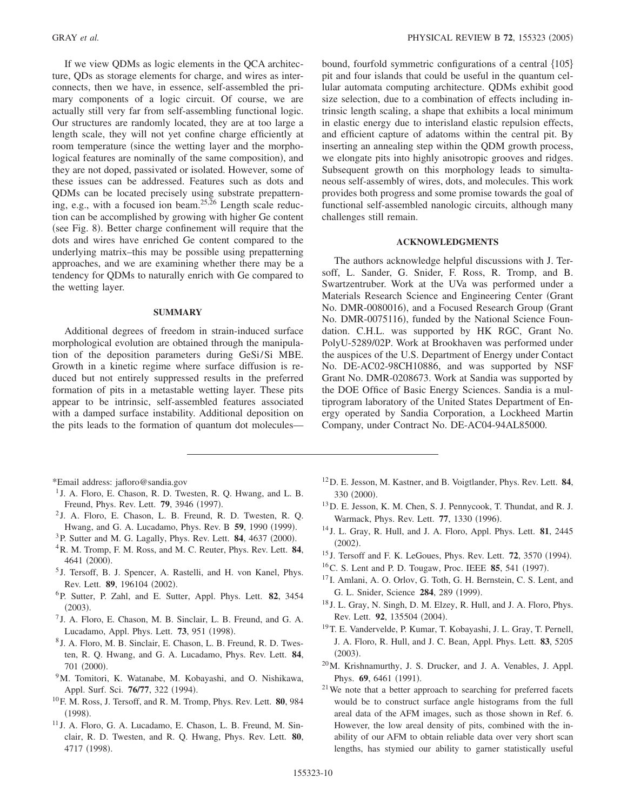If we view QDMs as logic elements in the QCA architecture, QDs as storage elements for charge, and wires as interconnects, then we have, in essence, self-assembled the primary components of a logic circuit. Of course, we are actually still very far from self-assembling functional logic. Our structures are randomly located, they are at too large a length scale, they will not yet confine charge efficiently at room temperature (since the wetting layer and the morphological features are nominally of the same composition), and they are not doped, passivated or isolated. However, some of these issues can be addressed. Features such as dots and QDMs can be located precisely using substrate prepatterning, e.g., with a focused ion beam.<sup>25,26</sup> Length scale reduction can be accomplished by growing with higher Ge content (see Fig. 8). Better charge confinement will require that the dots and wires have enriched Ge content compared to the underlying matrix–this may be possible using prepatterning approaches, and we are examining whether there may be a tendency for QDMs to naturally enrich with Ge compared to the wetting layer.

#### **SUMMARY**

Additional degrees of freedom in strain-induced surface morphological evolution are obtained through the manipulation of the deposition parameters during GeSi/Si MBE. Growth in a kinetic regime where surface diffusion is reduced but not entirely suppressed results in the preferred formation of pits in a metastable wetting layer. These pits appear to be intrinsic, self-assembled features associated with a damped surface instability. Additional deposition on the pits leads to the formation of quantum dot molecules—

\*Email address: jafloro@sandia.gov

- <sup>1</sup> J. A. Floro, E. Chason, R. D. Twesten, R. Q. Hwang, and L. B. Freund, Phys. Rev. Lett. **79**, 3946 (1997).
- <sup>2</sup> J. A. Floro, E. Chason, L. B. Freund, R. D. Twesten, R. Q. Hwang, and G. A. Lucadamo, Phys. Rev. B 59, 1990 (1999).
- $3$  P. Sutter and M. G. Lagally, Phys. Rev. Lett. **84**, 4637 (2000).
- 4R. M. Tromp, F. M. Ross, and M. C. Reuter, Phys. Rev. Lett. **84**, 4641 (2000).
- <sup>5</sup> J. Tersoff, B. J. Spencer, A. Rastelli, and H. von Kanel, Phys. Rev. Lett. **89**, 196104 (2002).
- 6P. Sutter, P. Zahl, and E. Sutter, Appl. Phys. Lett. **82**, 3454  $(2003).$
- <sup>7</sup> J. A. Floro, E. Chason, M. B. Sinclair, L. B. Freund, and G. A. Lucadamo, Appl. Phys. Lett. **73**, 951 (1998).
- <sup>8</sup> J. A. Floro, M. B. Sinclair, E. Chason, L. B. Freund, R. D. Twesten, R. Q. Hwang, and G. A. Lucadamo, Phys. Rev. Lett. **84**, 701 (2000).
- <sup>9</sup>M. Tomitori, K. Watanabe, M. Kobayashi, and O. Nishikawa, Appl. Surf. Sci. 76/77, 322 (1994).
- 10F. M. Ross, J. Tersoff, and R. M. Tromp, Phys. Rev. Lett. **80**, 984  $(1998).$
- <sup>11</sup> J. A. Floro, G. A. Lucadamo, E. Chason, L. B. Freund, M. Sinclair, R. D. Twesten, and R. Q. Hwang, Phys. Rev. Lett. **80**, 4717 (1998).

bound, fourfold symmetric configurations of a central  $\{105\}$ pit and four islands that could be useful in the quantum cellular automata computing architecture. QDMs exhibit good size selection, due to a combination of effects including intrinsic length scaling, a shape that exhibits a local minimum in elastic energy due to interisland elastic repulsion effects, and efficient capture of adatoms within the central pit. By inserting an annealing step within the QDM growth process, we elongate pits into highly anisotropic grooves and ridges. Subsequent growth on this morphology leads to simultaneous self-assembly of wires, dots, and molecules. This work provides both progress and some promise towards the goal of functional self-assembled nanologic circuits, although many challenges still remain.

## **ACKNOWLEDGMENTS**

The authors acknowledge helpful discussions with J. Tersoff, L. Sander, G. Snider, F. Ross, R. Tromp, and B. Swartzentruber. Work at the UVa was performed under a Materials Research Science and Engineering Center Grant No. DMR-0080016), and a Focused Research Group (Grant No. DMR-0075116), funded by the National Science Foundation. C.H.L. was supported by HK RGC, Grant No. PolyU-5289/02P. Work at Brookhaven was performed under the auspices of the U.S. Department of Energy under Contact No. DE-AC02-98CH10886, and was supported by NSF Grant No. DMR-0208673. Work at Sandia was supported by the DOE Office of Basic Energy Sciences. Sandia is a multiprogram laboratory of the United States Department of Energy operated by Sandia Corporation, a Lockheed Martin Company, under Contract No. DE-AC04-94AL85000.

- 12D. E. Jesson, M. Kastner, and B. Voigtlander, Phys. Rev. Lett. **84**, 330 (2000).
- 13D. E. Jesson, K. M. Chen, S. J. Pennycook, T. Thundat, and R. J. Warmack, Phys. Rev. Lett. 77, 1330 (1996).
- <sup>14</sup> J. L. Gray, R. Hull, and J. A. Floro, Appl. Phys. Lett. **81**, 2445  $(2002).$
- <sup>15</sup> J. Tersoff and F. K. LeGoues, Phys. Rev. Lett. **72**, 3570 (1994).
- <sup>16</sup>C. S. Lent and P. D. Tougaw, Proc. IEEE **85**, 541 (1997).
- <sup>17</sup> I. Amlani, A. O. Orlov, G. Toth, G. H. Bernstein, C. S. Lent, and G. L. Snider, Science 284, 289 (1999).
- <sup>18</sup> J. L. Gray, N. Singh, D. M. Elzey, R. Hull, and J. A. Floro, Phys. Rev. Lett. 92, 135504 (2004).
- 19T. E. Vandervelde, P. Kumar, T. Kobayashi, J. L. Gray, T. Pernell, J. A. Floro, R. Hull, and J. C. Bean, Appl. Phys. Lett. **83**, 5205  $(2003).$
- $^{20}$ M. Krishnamurthy, J. S. Drucker, and J. A. Venables, J. Appl. Phys. 69, 6461 (1991).
- <sup>21</sup>We note that a better approach to searching for preferred facets would be to construct surface angle histograms from the full areal data of the AFM images, such as those shown in Ref. 6. However, the low areal density of pits, combined with the inability of our AFM to obtain reliable data over very short scan lengths, has stymied our ability to garner statistically useful